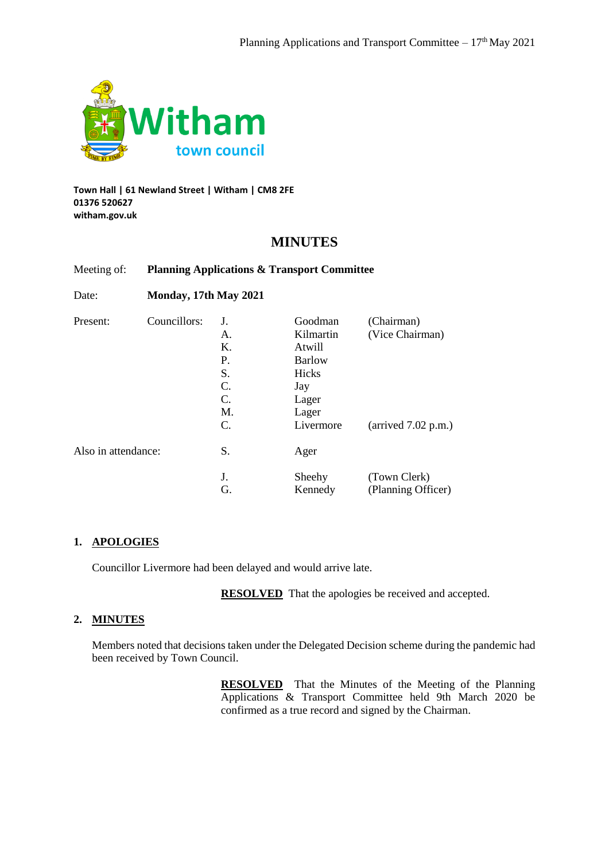

**Town Hall | 61 Newland Street | Witham | CM8 2FE 01376 520627 witham.gov.uk**

## **MINUTES**

#### Meeting of: **Planning Applications & Transport Committee**

Date: **Monday, 17th May 2021**

| Present:            | Councillors: | J. | Goodman       | (Chairman)                            |
|---------------------|--------------|----|---------------|---------------------------------------|
|                     |              | А. | Kilmartin     | (Vice Chairman)                       |
|                     |              | Κ. | Atwill        |                                       |
|                     |              | Ρ. | <b>Barlow</b> |                                       |
|                     |              | S. | Hicks         |                                       |
|                     |              | C. | Jay           |                                       |
|                     |              | C. | Lager         |                                       |
|                     |              | M. | Lager         |                                       |
|                     |              | C. | Livermore     | $\text{(arrived } 7.02 \text{ p.m.})$ |
| Also in attendance: |              | S. | Ager          |                                       |
|                     |              | J. | Sheehy        | (Town Clerk)                          |
|                     |              | G. | Kennedy       | (Planning Officer)                    |

#### **1. APOLOGIES**

Councillor Livermore had been delayed and would arrive late.

**RESOLVED** That the apologies be received and accepted.

#### **2. MINUTES**

Members noted that decisions taken under the Delegated Decision scheme during the pandemic had been received by Town Council.

> **RESOLVED** That the Minutes of the Meeting of the Planning Applications & Transport Committee held 9th March 2020 be confirmed as a true record and signed by the Chairman.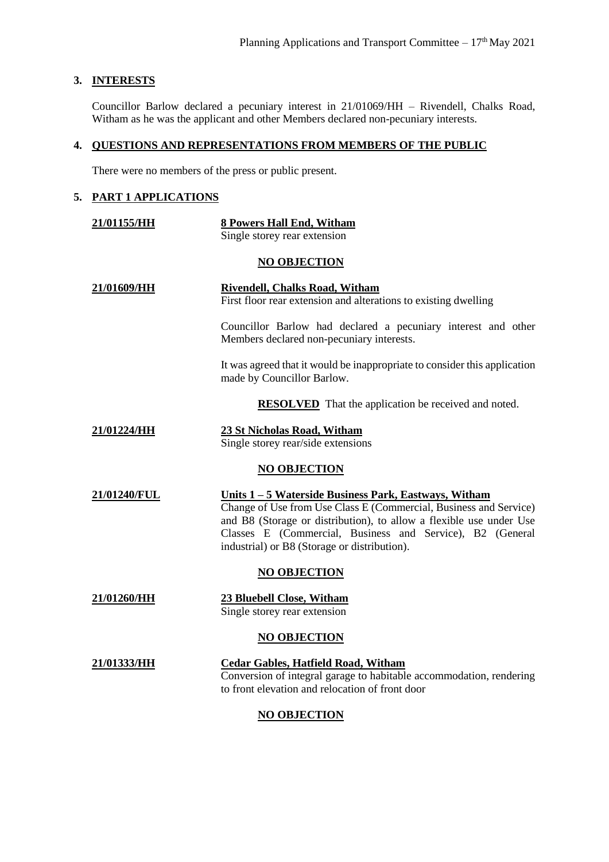#### **3. INTERESTS**

Councillor Barlow declared a pecuniary interest in 21/01069/HH – Rivendell, Chalks Road, Witham as he was the applicant and other Members declared non-pecuniary interests.

## **4. QUESTIONS AND REPRESENTATIONS FROM MEMBERS OF THE PUBLIC**

There were no members of the press or public present.

## **5. PART 1 APPLICATIONS**

| 21/01155/HH         | 8 Powers Hall End, Witham                                                                                                                                                                                                                                                                                              |  |  |  |
|---------------------|------------------------------------------------------------------------------------------------------------------------------------------------------------------------------------------------------------------------------------------------------------------------------------------------------------------------|--|--|--|
|                     | Single storey rear extension                                                                                                                                                                                                                                                                                           |  |  |  |
| <b>NO OBJECTION</b> |                                                                                                                                                                                                                                                                                                                        |  |  |  |
| 21/01609/HH         | <b>Rivendell, Chalks Road, Witham</b><br>First floor rear extension and alterations to existing dwelling                                                                                                                                                                                                               |  |  |  |
|                     | Councillor Barlow had declared a pecuniary interest and other<br>Members declared non-pecuniary interests.                                                                                                                                                                                                             |  |  |  |
|                     | It was agreed that it would be inappropriate to consider this application<br>made by Councillor Barlow.                                                                                                                                                                                                                |  |  |  |
|                     | <b>RESOLVED</b> That the application be received and noted.                                                                                                                                                                                                                                                            |  |  |  |
| 21/01224/HH         | 23 St Nicholas Road, Witham<br>Single storey rear/side extensions                                                                                                                                                                                                                                                      |  |  |  |
|                     | <b>NO OBJECTION</b>                                                                                                                                                                                                                                                                                                    |  |  |  |
| 21/01240/FUL        | <u> Units 1 – 5 Waterside Business Park, Eastways, Witham</u><br>Change of Use from Use Class E (Commercial, Business and Service)<br>and B8 (Storage or distribution), to allow a flexible use under Use<br>Classes E (Commercial, Business and Service), B2 (General<br>industrial) or B8 (Storage or distribution). |  |  |  |
|                     | <b>NO OBJECTION</b>                                                                                                                                                                                                                                                                                                    |  |  |  |
| 21/01260/HH         | 23 Bluebell Close, Witham<br>Single storey rear extension                                                                                                                                                                                                                                                              |  |  |  |
|                     | <b>NO OBJECTION</b>                                                                                                                                                                                                                                                                                                    |  |  |  |
| 21/01333/HH         | <b>Cedar Gables, Hatfield Road, Witham</b><br>Conversion of integral garage to habitable accommodation, rendering<br>to front elevation and relocation of front door                                                                                                                                                   |  |  |  |

# **NO OBJECTION**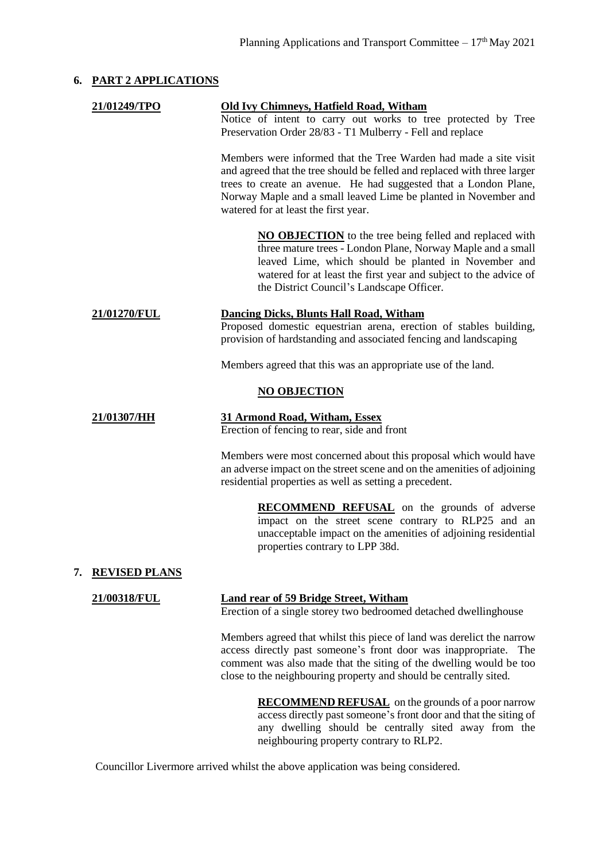#### **6. PART 2 APPLICATIONS**

|    | 21/01249/TPO         | <b>Old Ivy Chimneys, Hatfield Road, Witham</b><br>Notice of intent to carry out works to tree protected by Tree<br>Preservation Order 28/83 - T1 Mulberry - Fell and replace                                                                                                                                                |
|----|----------------------|-----------------------------------------------------------------------------------------------------------------------------------------------------------------------------------------------------------------------------------------------------------------------------------------------------------------------------|
|    |                      | Members were informed that the Tree Warden had made a site visit<br>and agreed that the tree should be felled and replaced with three larger<br>trees to create an avenue. He had suggested that a London Plane,<br>Norway Maple and a small leaved Lime be planted in November and<br>watered for at least the first year. |
|    |                      | <b>NO OBJECTION</b> to the tree being felled and replaced with<br>three mature trees - London Plane, Norway Maple and a small<br>leaved Lime, which should be planted in November and<br>watered for at least the first year and subject to the advice of<br>the District Council's Landscape Officer.                      |
|    | 21/01270/FUL         | <b>Dancing Dicks, Blunts Hall Road, Witham</b><br>Proposed domestic equestrian arena, erection of stables building,<br>provision of hardstanding and associated fencing and landscaping                                                                                                                                     |
|    |                      | Members agreed that this was an appropriate use of the land.                                                                                                                                                                                                                                                                |
|    |                      | <b>NO OBJECTION</b>                                                                                                                                                                                                                                                                                                         |
|    | 21/01307/HH          | 31 Armond Road, Witham, Essex<br>Erection of fencing to rear, side and front                                                                                                                                                                                                                                                |
|    |                      | Members were most concerned about this proposal which would have<br>an adverse impact on the street scene and on the amenities of adjoining<br>residential properties as well as setting a precedent.                                                                                                                       |
|    |                      | <b>RECOMMEND REFUSAL</b> on the grounds of adverse<br>impact on the street scene contrary to RLP25 and an<br>unacceptable impact on the amenities of adjoining residential<br>properties contrary to LPP 38d.                                                                                                               |
| 7. | <b>REVISED PLANS</b> |                                                                                                                                                                                                                                                                                                                             |
|    | 21/00318/FUL         | <b>Land rear of 59 Bridge Street, Witham</b><br>Erection of a single storey two bedroomed detached dwellinghouse                                                                                                                                                                                                            |
|    |                      | Members agreed that whilst this piece of land was derelict the narrow<br>access directly past someone's front door was inappropriate. The<br>comment was also made that the siting of the dwelling would be too<br>close to the neighbouring property and should be centrally sited.                                        |
|    |                      |                                                                                                                                                                                                                                                                                                                             |

**RECOMMEND REFUSAL** on the grounds of a poor narrow access directly past someone's front door and that the siting of any dwelling should be centrally sited away from the neighbouring property contrary to RLP2.

Councillor Livermore arrived whilst the above application was being considered.